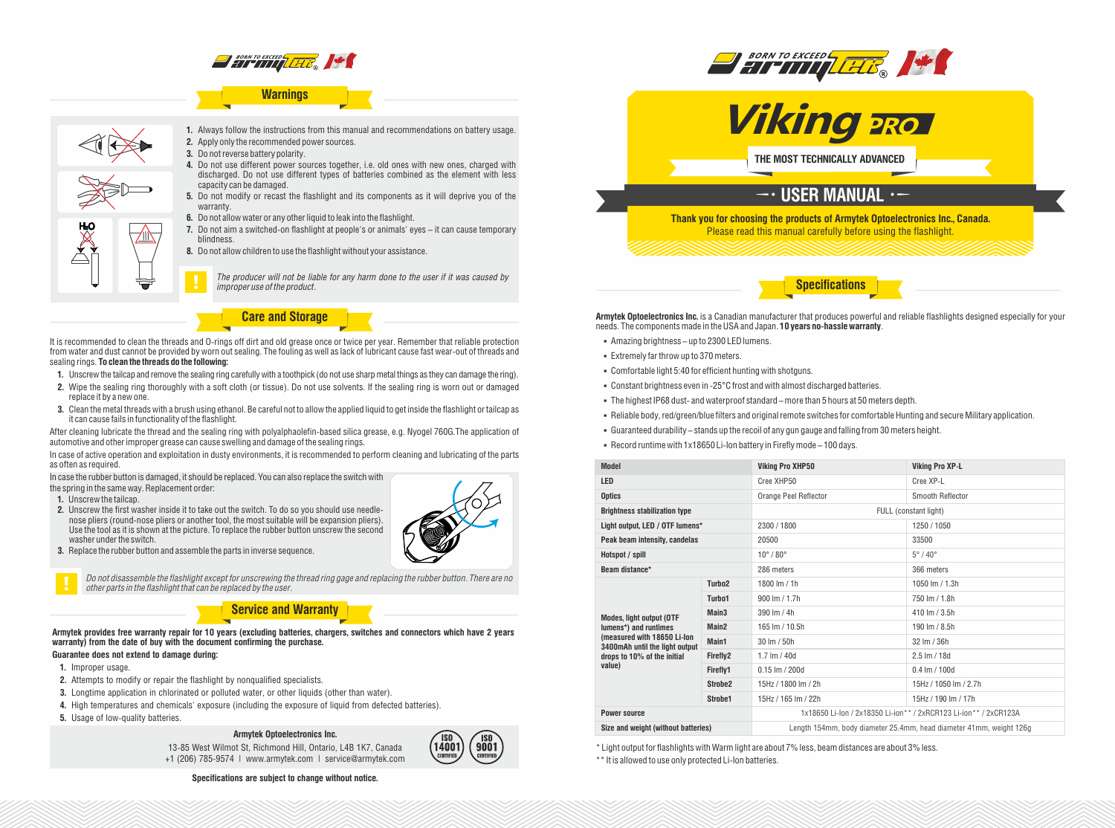

# **Warnings**



**1.** Always follow the instructions from this manual and recommendations on battery usage. **2.** Apply only the recommended power sources.

- **3.** Do not reverse battery polarity.
- **4.** Do not use different power sources together, i.e. old ones with new ones, charged with discharged. Do not use different types of batteries combined as the element with less capacity can be damaged.
- **5.** Do not modify or recast the flashlight and its components as it will deprive you of the warranty.
- **6.** Do not allow water or any other liquid to leak into the flashlight.
- **7.** Do not aim a switched-on flashlight at people's or animals' eyes it can cause temporary blindness.
- **8.** Do not allow children to use the flashlight without your assistance.

*The producer will not be liable for any harm done to the user if it was caused by improper use of the product.*

**Care and Storage**

It is recommended to clean the threads and O-rings off dirt and old grease once or twice per year. Remember that reliable protection from water and dust cannot be provided by worn out sealing. The fouling as well as lack of lubricant cause fast wear-out of threads and sealing rings. **To clean the threads do the following:**

- **1.** Unscrew the tailcap and remove the sealing ring carefully with a toothpick (do not use sharp metal things as they can damage the ring).
- **2.** Wipe the sealing ring thoroughly with a soft cloth (or tissue). Do not use solvents. If the sealing ring is worn out or damaged replace it by a new one.
- **3.** Clean the metal threads with a brush using ethanol. Be careful not to allow the applied liquid to get inside the flashlight or tailcap as it can cause fails in functionality of the flashlight.

After cleaning lubricate the thread and the sealing ring with polyalphaolefin-based silica grease, e.g. Nyogel 760G.The application of automotive and other improper grease can cause swelling and damage of the sealing rings.

In case of active operation and exploitation in dusty environments, it is recommended to perform cleaning and lubricating of the parts as often as required.

In case the rubber button is damaged, it should be replaced. You can also replace the switch with

the spring in the same way. Replacement order:

- **1.** Unscrew the tailcap.
- **2.** Unscrew the first washer inside it to take out the switch. To do so you should use needlenose pliers (round-nose pliers or another tool, the most suitable will be expansion pliers). Use the tool as it is shown at the picture. To replace the rubber button unscrew the second washer under the switch.
- **3.** Replace the rubber button and assemble the parts in inverse sequence.



*Do not disassemble the flashlight except for unscrewing the thread ring gage and replacing the rubber button. There are no other parts in the flashlight that can be replaced by the user.*

## **Service and Warranty**

**Armytek provides free warranty repair for 10 years (excluding batteries, chargers, switches and connectors which have 2 years warranty) from the date of buy with the document confirming the purchase.**

# **Guarantee does not extend to damage during:**

- **1.** Improper usage.
- **2.** Attempts to modify or repair the flashlight by nonqualified specialists.
- **3.** Longtime application in chlorinated or polluted water, or other liquids (other than water).
- **4.** High temperatures and chemicals' exposure (including the exposure of liquid from defected batteries).
- **5.** Usage of low-quality batteries.

#### **Armytek Optoelectronics Inc.**

13-85 West Wilmot St, Richmond Hill, Ontario, L4B 1K7, Canada +1 (206) 785-9574 | www.armytek.com | service@armytek.com



**Specifications are subject to change without notice.**





**BORN TO EXCEED GETTY REALLY** 

**Armytek Optoelectronics Inc.** is a Canadian manufacturer that produces powerful and reliable flashlights designed especially for your needs. The components made in the USA and Japan. **10 years no-hassle warranty**.

**Specifications**

- § Amazing brightness up to 2300 LED lumens.
- § Extremely far throw up to 370meters.
- § Comfortable light 5:40 for efficient hunting with shotguns.
- § Constant brightness even in -25°C frost and with almost discharged batteries.
- § The highest IP68 dust- and waterproof standard more than 5 hours at 50 meters depth.
- § Reliable body, red/green/blue filters and original remote switches for comfortable Hunting and secure Military application.
- § Guaranteed durability stands up the recoil of any gun gauge and falling from 30 meters height.
- § Record runtime with 1x18650 Li-Ion battery in Firefly mode 100 days.

| <b>Model</b>                                                                                                                                                       |                     | <b>Viking Pro XHP50</b>                                             | <b>Viking Pro XP-L</b> |
|--------------------------------------------------------------------------------------------------------------------------------------------------------------------|---------------------|---------------------------------------------------------------------|------------------------|
| <b>LED</b>                                                                                                                                                         |                     | Cree XHP50                                                          | Cree XP-L              |
| <b>Optics</b>                                                                                                                                                      |                     | Orange Peel Reflector                                               | Smooth Reflector       |
| <b>Brightness stabilization type</b>                                                                                                                               |                     | FULL (constant light)                                               |                        |
| Light output, LED / OTF lumens*                                                                                                                                    |                     | 2300/1800                                                           | 1250/1050              |
| Peak beam intensity, candelas                                                                                                                                      |                     | 20500                                                               | 33500                  |
| Hotspot / spill                                                                                                                                                    |                     | $10^{\circ}$ / $80^{\circ}$                                         | $5^\circ/40^\circ$     |
| Beam distance*                                                                                                                                                     |                     | 286 meters                                                          | 366 meters             |
| <b>Modes, light output (OTF</b><br>lumens*) and runtimes<br>(measured with 18650 Li-lon<br>3400mAh until the light output<br>drops to 10% of the initial<br>value) | Turbo <sub>2</sub>  | 1800 lm / 1h                                                        | 1050 lm / 1.3h         |
|                                                                                                                                                                    | Turbo1              | 900 lm / 1.7h                                                       | 750 lm / 1.8h          |
|                                                                                                                                                                    | Main <sub>3</sub>   | 390 lm / 4h                                                         | 410 lm / 3.5h          |
|                                                                                                                                                                    | Main <sub>2</sub>   | 165 lm / 10.5h                                                      | 190 lm / 8.5h          |
|                                                                                                                                                                    | Main1               | 30 lm / 50h                                                         | 32 Im / 36h            |
|                                                                                                                                                                    | Firefly2            | 1.7 $Im / 40d$                                                      | $2.5 \text{ Im} / 18d$ |
|                                                                                                                                                                    | Firefly1            | $0.15$ lm $/$ 200d                                                  | $0.4 \,$ lm $/ 100d$   |
|                                                                                                                                                                    | Strobe <sub>2</sub> | 15Hz / 1800 lm / 2h                                                 | 15Hz / 1050 lm / 2.7h  |
|                                                                                                                                                                    | Strobe1             | 15Hz / 165 lm / 22h                                                 | 15Hz / 190 lm / 17h    |
| <b>Power source</b>                                                                                                                                                |                     | 1x18650 Li-lon / 2x18350 Li-ion** / 2xRCR123 Li-ion** / 2xCR123A    |                        |
| Size and weight (without batteries)                                                                                                                                |                     | Length 154mm, body diameter 25.4mm, head diameter 41mm, weight 126g |                        |

\* Light output for flashlights with Warm light are about 7% less, beam distances are about 3% less.

\*\* It is allowed to use only protected Li-Ion batteries.